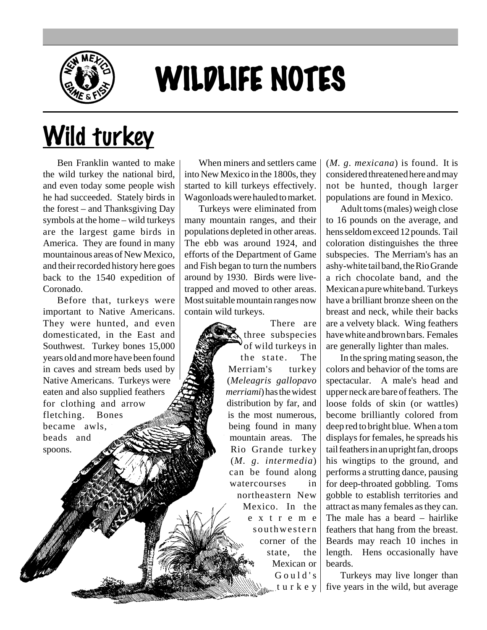

## WILDLIFE NOTES

## Wild turkey

Ben Franklin wanted to make the wild turkey the national bird, and even today some people wish he had succeeded. Stately birds in the forest – and Thanksgiving Day symbols at the home – wild turkeys are the largest game birds in America. They are found in many mountainous areas of New Mexico, and their recorded history here goes back to the 1540 expedition of Coronado.

Before that, turkeys were important to Native Americans. They were hunted, and even domesticated, in the East and Southwest. Turkey bones 15,000 years old and more have been found in caves and stream beds used by Native Americans. Turkeys were eaten and also supplied feathers for clothing and arrow fletching. Bones became awls, beads and spoons.

When miners and settlers came into New Mexico in the 1800s, they started to kill turkeys effectively. Wagonloads were hauled to market.

Turkeys were eliminated from many mountain ranges, and their populations depleted in other areas. The ebb was around 1924, and efforts of the Department of Game and Fish began to turn the numbers around by 1930. Birds were livetrapped and moved to other areas. Most suitable mountain ranges now contain wild turkeys.

> There are three subspecies of wild turkeys in the state. The Merriam's turkey (*Meleagris gallopavo merriami*) has the widest distribution by far, and is the most numerous, being found in many mountain areas. The Rio Grande turkey (*M. g. intermedia*) can be found along watercourses in northeastern New Mexico. In the extreme southwestern corner of the state, the Mexican or Gould's  $\frac{1}{\|x\|_2}$ turkey $\|$

(*M. g. mexicana*) is found. It is considered threatened here and may not be hunted, though larger populations are found in Mexico.

Adult toms (males) weigh close to 16 pounds on the average, and hens seldom exceed 12 pounds. Tail coloration distinguishes the three subspecies. The Merriam's has an ashy-white tail band, the Rio Grande a rich chocolate band, and the Mexican a pure white band. Turkeys have a brilliant bronze sheen on the breast and neck, while their backs are a velvety black. Wing feathers have white and brown bars. Females are generally lighter than males.

In the spring mating season, the colors and behavior of the toms are spectacular. A male's head and upper neck are bare of feathers. The loose folds of skin (or wattles) become brilliantly colored from deep red to bright blue. When a tom displays for females, he spreads his tail feathers in an upright fan, droops his wingtips to the ground, and performs a strutting dance, pausing for deep-throated gobbling. Toms gobble to establish territories and attract as many females as they can. The male has a beard – hairlike feathers that hang from the breast. Beards may reach 10 inches in length. Hens occasionally have beards.

Turkeys may live longer than five years in the wild, but average